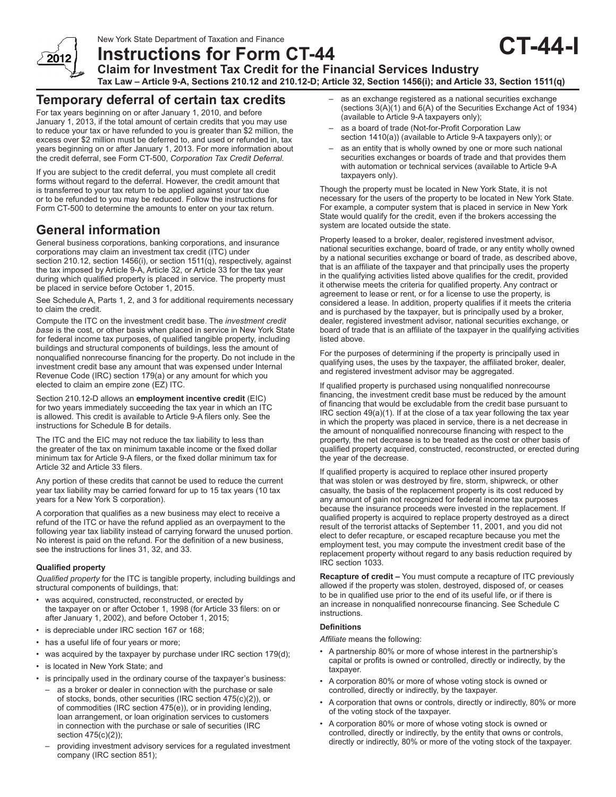New York State Department of Taxation and Finance



**Instructions for Form CT-44**

**Claim for Investment Tax Credit for the Financial Services Industry**

**Tax Law – Article 9-A, Sections 210.12 and 210.12-D; Article 32, Section 1456(i); and Article 33, Section 1511(q)**

## **Temporary deferral of certain tax credits**

For tax years beginning on or after January 1, 2010, and before January 1, 2013, if the total amount of certain credits that you may use to reduce your tax or have refunded to you is greater than \$2 million, the excess over \$2 million must be deferred to, and used or refunded in, tax years beginning on or after January 1, 2013. For more information about the credit deferral, see Form CT-500, *Corporation Tax Credit Deferral.*

If you are subject to the credit deferral, you must complete all credit forms without regard to the deferral. However, the credit amount that is transferred to your tax return to be applied against your tax due or to be refunded to you may be reduced. Follow the instructions for Form CT-500 to determine the amounts to enter on your tax return.

# **General information**

General business corporations, banking corporations, and insurance corporations may claim an investment tax credit (ITC) under section 210.12, section 1456(i), or section 1511(q), respectively, against the tax imposed by Article 9-A, Article 32, or Article 33 for the tax year during which qualified property is placed in service. The property must be placed in service before October 1, 2015.

See Schedule A, Parts 1, 2, and 3 for additional requirements necessary to claim the credit.

Compute the ITC on the investment credit base. The *investment credit base* is the cost, or other basis when placed in service in New York State for federal income tax purposes, of qualified tangible property, including buildings and structural components of buildings, less the amount of nonqualified nonrecourse financing for the property. Do not include in the investment credit base any amount that was expensed under Internal Revenue Code (IRC) section 179(a) or any amount for which you elected to claim an empire zone (EZ) ITC.

Section 210.12-D allows an **employment incentive credit** (EIC) for two years immediately succeeding the tax year in which an ITC is allowed. This credit is available to Article 9‑A filers only. See the instructions for Schedule B for details.

The ITC and the EIC may not reduce the tax liability to less than the greater of the tax on minimum taxable income or the fixed dollar minimum tax for Article 9‑A filers, or the fixed dollar minimum tax for Article 32 and Article 33 filers.

Any portion of these credits that cannot be used to reduce the current year tax liability may be carried forward for up to 15 tax years (10 tax years for a New York S corporation).

A corporation that qualifies as a new business may elect to receive a refund of the ITC or have the refund applied as an overpayment to the following year tax liability instead of carrying forward the unused portion. No interest is paid on the refund. For the definition of a new business, see the instructions for lines 31, 32, and 33.

#### **Qualified property**

*Qualified property* for the ITC is tangible property, including buildings and structural components of buildings, that:

- was acquired, constructed, reconstructed, or erected by the taxpayer on or after October 1, 1998 (for Article 33 filers: on or after January 1, 2002), and before October 1, 2015;
- is depreciable under IRC section 167 or 168;
- has a useful life of four years or more;
- was acquired by the taxpayer by purchase under IRC section 179(d);
- is located in New York State; and
- is principally used in the ordinary course of the taxpayer's business:
- as a broker or dealer in connection with the purchase or sale of stocks, bonds, other securities (IRC section 475(c)(2)), or of commodities (IRC section 475(e)), or in providing lending, loan arrangement, or loan origination services to customers in connection with the purchase or sale of securities (IRC section 475(c)(2));
- providing investment advisory services for a regulated investment company (IRC section 851);

as an exchange registered as a national securities exchange (sections 3(A)(1) and 6(A) of the Securities Exchange Act of 1934) (available to Article 9-A taxpayers only);

**CT-44-I**

- as a board of trade (Not-for-Profit Corporation Law section 1410(a)) (available to Article 9-A taxpayers only); or
- as an entity that is wholly owned by one or more such national securities exchanges or boards of trade and that provides them with automation or technical services (available to Article 9-A taxpayers only).

Though the property must be located in New York State, it is not necessary for the users of the property to be located in New York State. For example, a computer system that is placed in service in New York State would qualify for the credit, even if the brokers accessing the system are located outside the state.

Property leased to a broker, dealer, registered investment advisor, national securities exchange, board of trade, or any entity wholly owned by a national securities exchange or board of trade, as described above, that is an affiliate of the taxpayer and that principally uses the property in the qualifying activities listed above qualifies for the credit, provided it otherwise meets the criteria for qualified property. Any contract or agreement to lease or rent, or for a license to use the property, is considered a lease. In addition, property qualifies if it meets the criteria and is purchased by the taxpayer, but is principally used by a broker, dealer, registered investment advisor, national securities exchange, or board of trade that is an affiliate of the taxpayer in the qualifying activities listed above.

For the purposes of determining if the property is principally used in qualifying uses, the uses by the taxpayer, the affiliated broker, dealer, and registered investment advisor may be aggregated.

If qualified property is purchased using nonqualified nonrecourse financing, the investment credit base must be reduced by the amount of financing that would be excludable from the credit base pursuant to IRC section 49(a)(1). If at the close of a tax year following the tax year in which the property was placed in service, there is a net decrease in the amount of nonqualified nonrecourse financing with respect to the property, the net decrease is to be treated as the cost or other basis of qualified property acquired, constructed, reconstructed, or erected during the year of the decrease.

If qualified property is acquired to replace other insured property that was stolen or was destroyed by fire, storm, shipwreck, or other casualty, the basis of the replacement property is its cost reduced by any amount of gain not recognized for federal income tax purposes because the insurance proceeds were invested in the replacement. If qualified property is acquired to replace property destroyed as a direct result of the terrorist attacks of September 11, 2001, and you did not elect to defer recapture, or escaped recapture because you met the employment test, you may compute the investment credit base of the replacement property without regard to any basis reduction required by IRC section 1033.

**Recapture of credit –** You must compute a recapture of ITC previously allowed if the property was stolen, destroyed, disposed of, or ceases to be in qualified use prior to the end of its useful life, or if there is an increase in nonqualified nonrecourse financing. See Schedule C instructions.

#### **Definitions**

*Affiliate* means the following:

- A partnership 80% or more of whose interest in the partnership's capital or profits is owned or controlled, directly or indirectly, by the taxpayer.
- A corporation 80% or more of whose voting stock is owned or controlled, directly or indirectly, by the taxpayer.
- A corporation that owns or controls, directly or indirectly, 80% or more of the voting stock of the taxpayer.
- A corporation 80% or more of whose voting stock is owned or controlled, directly or indirectly, by the entity that owns or controls, directly or indirectly, 80% or more of the voting stock of the taxpayer.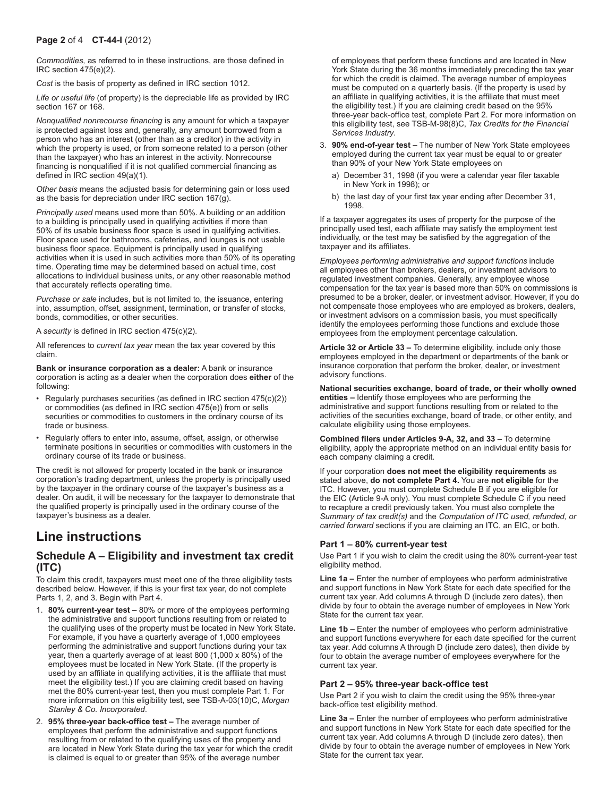*Commodities,* as referred to in these instructions, are those defined in IRC section 475(e)(2).

*Cost* is the basis of property as defined in IRC section 1012.

*Life or useful life* (of property) is the depreciable life as provided by IRC section 167 or 168.

*Nonqualified nonrecourse financing* is any amount for which a taxpayer is protected against loss and, generally, any amount borrowed from a person who has an interest (other than as a creditor) in the activity in which the property is used, or from someone related to a person (other than the taxpayer) who has an interest in the activity. Nonrecourse financing is nonqualified if it is not qualified commercial financing as defined in IRC section 49(a)(1).

*Other basis* means the adjusted basis for determining gain or loss used as the basis for depreciation under IRC section 167(g).

*Principally used* means used more than 50%. A building or an addition to a building is principally used in qualifying activities if more than 50% of its usable business floor space is used in qualifying activities. Floor space used for bathrooms, cafeterias, and lounges is not usable business floor space. Equipment is principally used in qualifying activities when it is used in such activities more than 50% of its operating time. Operating time may be determined based on actual time, cost allocations to individual business units, or any other reasonable method that accurately reflects operating time.

*Purchase or sale* includes, but is not limited to, the issuance, entering into, assumption, offset, assignment, termination, or transfer of stocks, bonds, commodities, or other securities.

A *security* is defined in IRC section 475(c)(2).

All references to *current tax year* mean the tax year covered by this claim.

**Bank or insurance corporation as a dealer:** A bank or insurance corporation is acting as a dealer when the corporation does **either** of the following:

- Regularly purchases securities (as defined in IRC section 475(c)(2)) or commodities (as defined in IRC section 475(e)) from or sells securities or commodities to customers in the ordinary course of its trade or business.
- Regularly offers to enter into, assume, offset, assign, or otherwise terminate positions in securities or commodities with customers in the ordinary course of its trade or business.

The credit is not allowed for property located in the bank or insurance corporation's trading department, unless the property is principally used by the taxpayer in the ordinary course of the taxpayer's business as a dealer. On audit, it will be necessary for the taxpayer to demonstrate that the qualified property is principally used in the ordinary course of the taxpayer's business as a dealer.

# **Line instructions**

## **Schedule A – Eligibility and investment tax credit (ITC)**

To claim this credit, taxpayers must meet one of the three eligibility tests described below. However, if this is your first tax year, do not complete Parts 1, 2, and 3. Begin with Part 4.

- 1. **80% current-year test –** 80% or more of the employees performing the administrative and support functions resulting from or related to the qualifying uses of the property must be located in New York State. For example, if you have a quarterly average of 1,000 employees performing the administrative and support functions during your tax year, then a quarterly average of at least 800 (1,000 x 80%) of the employees must be located in New York State. (If the property is used by an affiliate in qualifying activities, it is the affiliate that must meet the eligibility test.) If you are claiming credit based on having met the 80% current-year test, then you must complete Part 1. For more information on this eligibility test, see TSB-A-03(10)C, *Morgan Stanley & Co. Incorporated*.
- 2. **95% three-year back-office test –** The average number of employees that perform the administrative and support functions resulting from or related to the qualifying uses of the property and are located in New York State during the tax year for which the credit is claimed is equal to or greater than 95% of the average number

of employees that perform these functions and are located in New York State during the 36 months immediately preceding the tax year for which the credit is claimed. The average number of employees must be computed on a quarterly basis. (If the property is used by an affiliate in qualifying activities, it is the affiliate that must meet the eligibility test.) If you are claiming credit based on the 95% three-year back-office test, complete Part 2. For more information on this eligibility test, see TSB-M-98(8)C, *Tax Credits for the Financial Services Industry*.

- 3. **90% end-of-year test –** The number of New York State employees employed during the current tax year must be equal to or greater than 90% of your New York State employees on
	- a) December 31, 1998 (if you were a calendar year filer taxable in New York in 1998); or
	- b) the last day of your first tax year ending after December 31, 1998.

If a taxpayer aggregates its uses of property for the purpose of the principally used test, each affiliate may satisfy the employment test individually, or the test may be satisfied by the aggregation of the taxpayer and its affiliates.

*Employees performing administrative and support functions* include all employees other than brokers, dealers, or investment advisors to regulated investment companies. Generally, any employee whose compensation for the tax year is based more than 50% on commissions is presumed to be a broker, dealer, or investment advisor. However, if you do not compensate those employees who are employed as brokers, dealers, or investment advisors on a commission basis, you must specifically identify the employees performing those functions and exclude those employees from the employment percentage calculation.

**Article 32 or Article 33 –** To determine eligibility, include only those employees employed in the department or departments of the bank or insurance corporation that perform the broker, dealer, or investment advisory functions.

**National securities exchange, board of trade, or their wholly owned entities –** Identify those employees who are performing the administrative and support functions resulting from or related to the activities of the securities exchange, board of trade, or other entity, and calculate eligibility using those employees.

**Combined filers under Articles 9-A, 32, and 33 –** To determine eligibility, apply the appropriate method on an individual entity basis for each company claiming a credit.

If your corporation **does not meet the eligibility requirements** as stated above, **do not complete Part 4.** You are **not eligible** for the ITC. However, you must complete Schedule B if you are eligible for the EIC (Article 9-A only). You must complete Schedule C if you need to recapture a credit previously taken. You must also complete the *Summary of tax credit(s)* and the *Computation of ITC used, refunded, or carried forward* sections if you are claiming an ITC, an EIC, or both.

#### **Part 1 – 80% current-year test**

Use Part 1 if you wish to claim the credit using the 80% current-year test eligibility method.

**Line 1a –** Enter the number of employees who perform administrative and support functions in New York State for each date specified for the current tax year. Add columns A through D (include zero dates), then divide by four to obtain the average number of employees in New York State for the current tax year.

**Line 1b –** Enter the number of employees who perform administrative and support functions everywhere for each date specified for the current tax year. Add columns A through D (include zero dates), then divide by four to obtain the average number of employees everywhere for the current tax year.

#### **Part 2 – 95% three-year back‑office test**

Use Part 2 if you wish to claim the credit using the 95% three-year back-office test eligibility method.

**Line 3a –** Enter the number of employees who perform administrative and support functions in New York State for each date specified for the current tax year. Add columns A through D (include zero dates), then divide by four to obtain the average number of employees in New York State for the current tax year.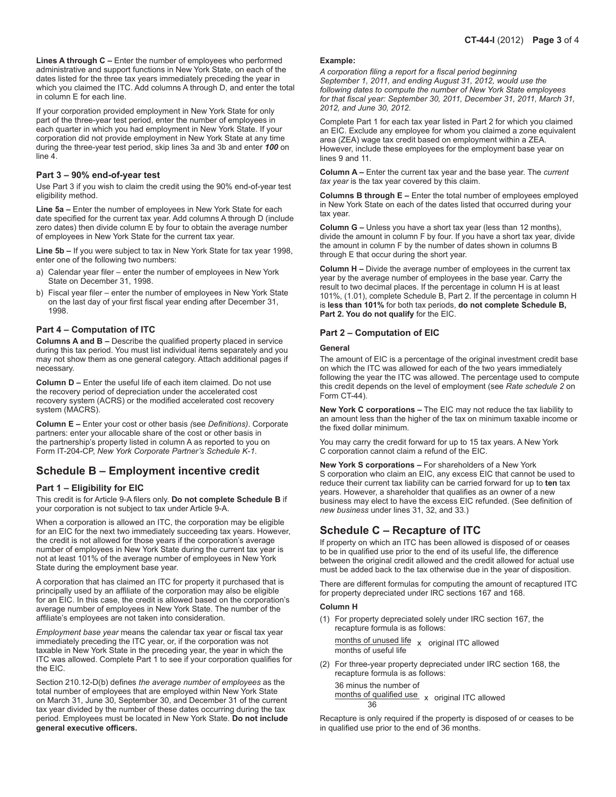**Lines A through C –** Enter the number of employees who performed administrative and support functions in New York State, on each of the dates listed for the three tax years immediately preceding the year in which you claimed the ITC. Add columns A through D, and enter the total in column E for each line.

If your corporation provided employment in New York State for only part of the three-year test period, enter the number of employees in each quarter in which you had employment in New York State. If your corporation did not provide employment in New York State at any time during the three-year test period, skip lines 3a and 3b and enter *100* on line 4.

#### **Part 3 – 90% end-of-year test**

Use Part 3 if you wish to claim the credit using the 90% end-of-year test eligibility method.

**Line 5a –** Enter the number of employees in New York State for each date specified for the current tax year. Add columns A through D (include zero dates) then divide column E by four to obtain the average number of employees in New York State for the current tax year.

**Line 5b –** If you were subject to tax in New York State for tax year 1998, enter one of the following two numbers:

- a) Calendar year filer enter the number of employees in New York State on December 31, 1998.
- b) Fiscal year filer enter the number of employees in New York State on the last day of your first fiscal year ending after December 31, 1998.

#### **Part 4 – Computation of ITC**

**Columns A and B –** Describe the qualified property placed in service during this tax period. You must list individual items separately and you may not show them as one general category. Attach additional pages if necessary.

**Column D –** Enter the useful life of each item claimed. Do not use the recovery period of depreciation under the accelerated cost recovery system (ACRS) or the modified accelerated cost recovery system (MACRS).

**Column E –** Enter your cost or other basis *(*see *Definitions)*. Corporate partners: enter your allocable share of the cost or other basis in the partnership's property listed in column A as reported to you on Form IT-204-CP, *New York Corporate Partner's Schedule K-1*.

### **Schedule B – Employment incentive credit**

#### **Part 1 – Eligibility for EIC**

This credit is for Article 9-A filers only. **Do not complete Schedule B** if your corporation is not subject to tax under Article 9-A.

When a corporation is allowed an ITC, the corporation may be eligible for an EIC for the next two immediately succeeding tax years. However, the credit is not allowed for those years if the corporation's average number of employees in New York State during the current tax year is not at least 101% of the average number of employees in New York State during the employment base year.

A corporation that has claimed an ITC for property it purchased that is principally used by an affiliate of the corporation may also be eligible for an EIC. In this case, the credit is allowed based on the corporation's average number of employees in New York State. The number of the affiliate's employees are not taken into consideration.

*Employment base year* means the calendar tax year or fiscal tax year immediately preceding the ITC year, or, if the corporation was not taxable in New York State in the preceding year, the year in which the ITC was allowed. Complete Part 1 to see if your corporation qualifies for the EIC.

Section 210.12-D(b) defines *the average number of employees* as the total number of employees that are employed within New York State on March 31, June 30, September 30, and December 31 of the current tax year divided by the number of these dates occurring during the tax period. Employees must be located in New York State. **Do not include general executive officers.**

#### **Example:**

*A corporation filing a report for a fiscal period beginning September 1, 2011, and ending August 31, 2012, would use the following dates to compute the number of New York State employees for that fiscal year: September 30, 2011, December 31, 2011, March 31, 2012, and June 30, 2012.*

Complete Part 1 for each tax year listed in Part 2 for which you claimed an EIC. Exclude any employee for whom you claimed a zone equivalent area (ZEA) wage tax credit based on employment within a ZEA. However, include these employees for the employment base year on lines 9 and 11.

**Column A –** Enter the current tax year and the base year. The *current tax year* is the tax year covered by this claim.

**Columns B through E –** Enter the total number of employees employed in New York State on each of the dates listed that occurred during your tax year.

**Column G –** Unless you have a short tax year (less than 12 months), divide the amount in column F by four. If you have a short tax year, divide the amount in column F by the number of dates shown in columns B through E that occur during the short year.

**Column H –** Divide the average number of employees in the current tax year by the average number of employees in the base year. Carry the result to two decimal places. If the percentage in column H is at least 101%, (1.01), complete Schedule B, Part 2. If the percentage in column H is **less than 101%** for both tax periods, **do not complete Schedule B, Part 2. You do not qualify** for the EIC.

#### **Part 2 – Computation of EIC**

#### **General**

The amount of EIC is a percentage of the original investment credit base on which the ITC was allowed for each of the two years immediately following the year the ITC was allowed. The percentage used to compute this credit depends on the level of employment (see *Rate schedule 2* on Form CT-44).

**New York C corporations –** The EIC may not reduce the tax liability to an amount less than the higher of the tax on minimum taxable income or the fixed dollar minimum.

You may carry the credit forward for up to 15 tax years. A New York C corporation cannot claim a refund of the EIC.

**New York S corporations –** For shareholders of a New York S corporation who claim an EIC, any excess EIC that cannot be used to reduce their current tax liability can be carried forward for up to **ten** tax years. However, a shareholder that qualifies as an owner of a new business may elect to have the excess EIC refunded. (See definition of *new business* under lines 31, 32, and 33.)

### **Schedule C – Recapture of ITC**

If property on which an ITC has been allowed is disposed of or ceases to be in qualified use prior to the end of its useful life, the difference between the original credit allowed and the credit allowed for actual use must be added back to the tax otherwise due in the year of disposition.

There are different formulas for computing the amount of recaptured ITC for property depreciated under IRC sections 167 and 168.

#### **Column H**

(1) For property depreciated solely under IRC section 167, the recapture formula is as follows:

months of unused life x original ITC allowed<br>months of useful life

(2) For three-year property depreciated under IRC section 168, the recapture formula is as follows:

36 minus the number of months of qualified use  $\times$  original ITC allowed

Recapture is only required if the property is disposed of or ceases to be in qualified use prior to the end of 36 months.